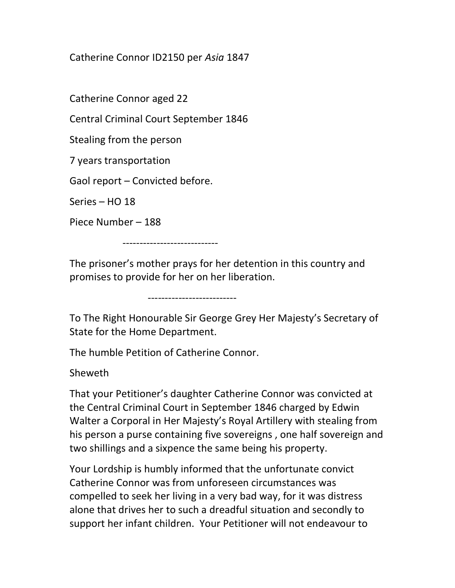Catherine Connor ID2150 per Asia 1847

Catherine Connor aged 22

Central Criminal Court September 1846

Stealing from the person

7 years transportation

Gaol report – Convicted before.

Series – HO 18

Piece Number – 188

----------------------------

The prisoner's mother prays for her detention in this country and promises to provide for her on her liberation.

--------------------------

To The Right Honourable Sir George Grey Her Majesty's Secretary of State for the Home Department.

The humble Petition of Catherine Connor.

Sheweth

That your Petitioner's daughter Catherine Connor was convicted at the Central Criminal Court in September 1846 charged by Edwin Walter a Corporal in Her Majesty's Royal Artillery with stealing from his person a purse containing five sovereigns , one half sovereign and two shillings and a sixpence the same being his property.

Your Lordship is humbly informed that the unfortunate convict Catherine Connor was from unforeseen circumstances was compelled to seek her living in a very bad way, for it was distress alone that drives her to such a dreadful situation and secondly to support her infant children. Your Petitioner will not endeavour to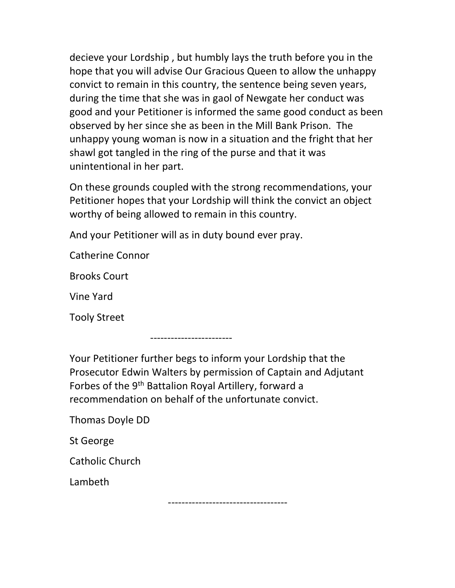decieve your Lordship , but humbly lays the truth before you in the hope that you will advise Our Gracious Queen to allow the unhappy convict to remain in this country, the sentence being seven years, during the time that she was in gaol of Newgate her conduct was good and your Petitioner is informed the same good conduct as been observed by her since she as been in the Mill Bank Prison. The unhappy young woman is now in a situation and the fright that her shawl got tangled in the ring of the purse and that it was unintentional in her part.

On these grounds coupled with the strong recommendations, your Petitioner hopes that your Lordship will think the convict an object worthy of being allowed to remain in this country.

And your Petitioner will as in duty bound ever pray.

Catherine Connor

Brooks Court

Vine Yard

Tooly Street

------------------------

Your Petitioner further begs to inform your Lordship that the Prosecutor Edwin Walters by permission of Captain and Adjutant Forbes of the 9th Battalion Royal Artillery, forward a recommendation on behalf of the unfortunate convict.

Thomas Doyle DD

St George

Catholic Church

Lambeth

-----------------------------------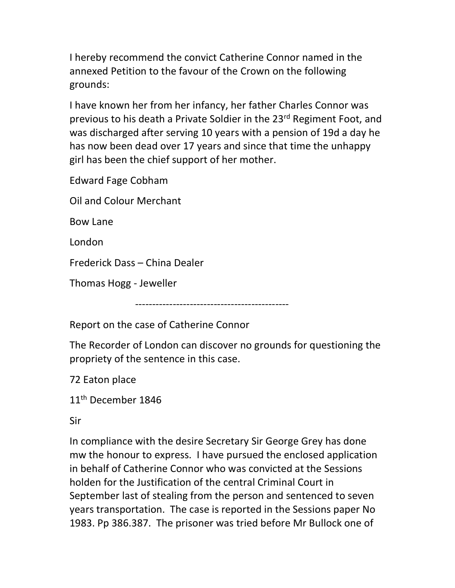I hereby recommend the convict Catherine Connor named in the annexed Petition to the favour of the Crown on the following grounds:

I have known her from her infancy, her father Charles Connor was previous to his death a Private Soldier in the 23rd Regiment Foot, and was discharged after serving 10 years with a pension of 19d a day he has now been dead over 17 years and since that time the unhappy girl has been the chief support of her mother.

Edward Fage Cobham

Oil and Colour Merchant

Bow Lane

London

Frederick Dass – China Dealer

Thomas Hogg - Jeweller

---------------------------------------------

Report on the case of Catherine Connor

The Recorder of London can discover no grounds for questioning the propriety of the sentence in this case.

72 Eaton place

11<sup>th</sup> December 1846

Sir

In compliance with the desire Secretary Sir George Grey has done mw the honour to express. I have pursued the enclosed application in behalf of Catherine Connor who was convicted at the Sessions holden for the Justification of the central Criminal Court in September last of stealing from the person and sentenced to seven years transportation. The case is reported in the Sessions paper No 1983. Pp 386.387. The prisoner was tried before Mr Bullock one of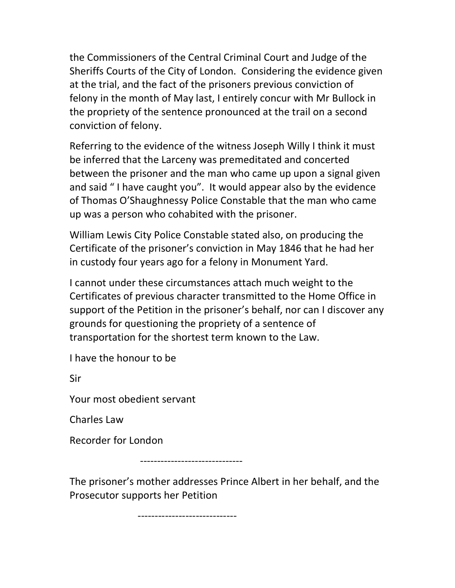the Commissioners of the Central Criminal Court and Judge of the Sheriffs Courts of the City of London. Considering the evidence given at the trial, and the fact of the prisoners previous conviction of felony in the month of May last, I entirely concur with Mr Bullock in the propriety of the sentence pronounced at the trail on a second conviction of felony.

Referring to the evidence of the witness Joseph Willy I think it must be inferred that the Larceny was premeditated and concerted between the prisoner and the man who came up upon a signal given and said " I have caught you". It would appear also by the evidence of Thomas O'Shaughnessy Police Constable that the man who came up was a person who cohabited with the prisoner.

William Lewis City Police Constable stated also, on producing the Certificate of the prisoner's conviction in May 1846 that he had her in custody four years ago for a felony in Monument Yard.

I cannot under these circumstances attach much weight to the Certificates of previous character transmitted to the Home Office in support of the Petition in the prisoner's behalf, nor can I discover any grounds for questioning the propriety of a sentence of transportation for the shortest term known to the Law.

I have the honour to be

Sir

Your most obedient servant

Charles Law

Recorder for London

------------------------------

The prisoner's mother addresses Prince Albert in her behalf, and the Prosecutor supports her Petition

-----------------------------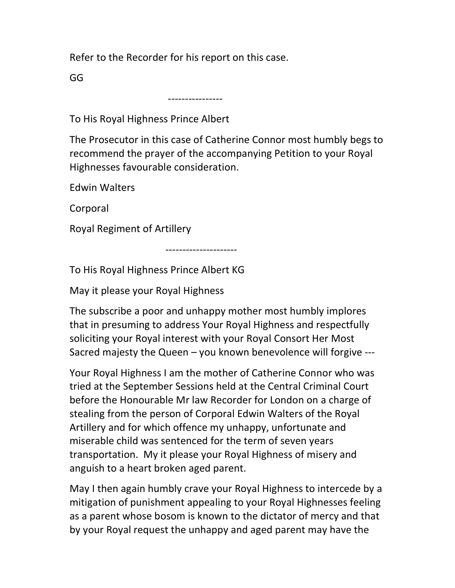Refer to the Recorder for his report on this case.

GG

----------------

To His Royal Highness Prince Albert

The Prosecutor in this case of Catherine Connor most humbly begs to recommend the prayer of the accompanying Petition to your Royal Highnesses favourable consideration.

Edwin Walters

Corporal

Royal Regiment of Artillery

---------------------

To His Royal Highness Prince Albert KG

May it please your Royal Highness

The subscribe a poor and unhappy mother most humbly implores that in presuming to address Your Royal Highness and respectfully soliciting your Royal interest with your Royal Consort Her Most Sacred majesty the Queen – you known benevolence will forgive ---

Your Royal Highness I am the mother of Catherine Connor who was tried at the September Sessions held at the Central Criminal Court before the Honourable Mr law Recorder for London on a charge of stealing from the person of Corporal Edwin Walters of the Royal Artillery and for which offence my unhappy, unfortunate and miserable child was sentenced for the term of seven years transportation. My it please your Royal Highness of misery and anguish to a heart broken aged parent.

May I then again humbly crave your Royal Highness to intercede by a mitigation of punishment appealing to your Royal Highnesses feeling as a parent whose bosom is known to the dictator of mercy and that by your Royal request the unhappy and aged parent may have the